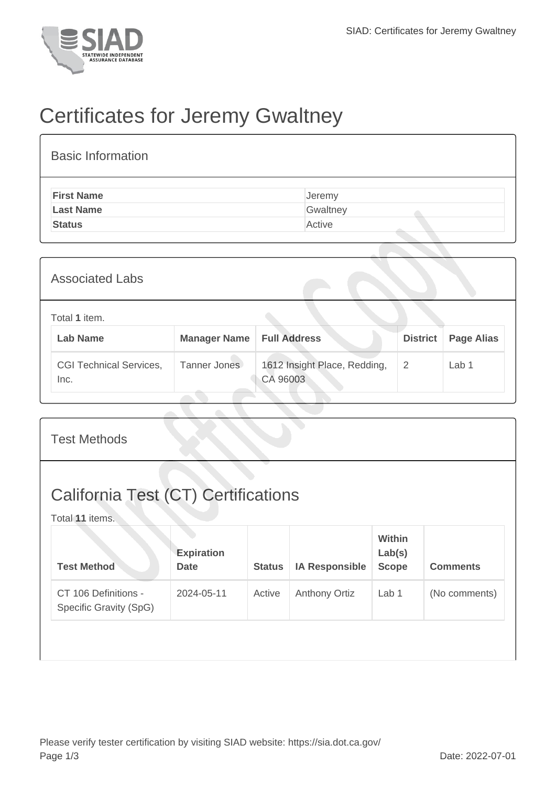

## Certificates for Jeremy Gwaltney

| <b>Basic Information</b> |          |
|--------------------------|----------|
| <b>First Name</b>        | Jeremy   |
| <b>Last Name</b>         | Gwaltney |
| <b>Status</b>            | Active   |

| <b>Associated Labs</b>                 |                     |                                          |                 |                   |  |  |
|----------------------------------------|---------------------|------------------------------------------|-----------------|-------------------|--|--|
| Total 1 item.<br><b>Lab Name</b>       | <b>Manager Name</b> | <b>Full Address</b>                      | <b>District</b> | <b>Page Alias</b> |  |  |
| <b>CGI Technical Services,</b><br>Inc. | Tanner Jones        | 1612 Insight Place, Redding,<br>CA 96003 | $\overline{2}$  | Lab 1             |  |  |

| <b>Test Methods</b>                                           |                                  |               |                       |                                  |                 |  |
|---------------------------------------------------------------|----------------------------------|---------------|-----------------------|----------------------------------|-----------------|--|
| <b>California Test (CT) Certifications</b><br>Total 11 items. |                                  |               |                       |                                  |                 |  |
| <b>Test Method</b>                                            | <b>Expiration</b><br><b>Date</b> | <b>Status</b> | <b>IA Responsible</b> | Within<br>Lab(s)<br><b>Scope</b> | <b>Comments</b> |  |
| CT 106 Definitions -<br>Specific Gravity (SpG)                | 2024-05-11                       | Active        | <b>Anthony Ortiz</b>  | Lab 1                            | (No comments)   |  |
|                                                               |                                  |               |                       |                                  |                 |  |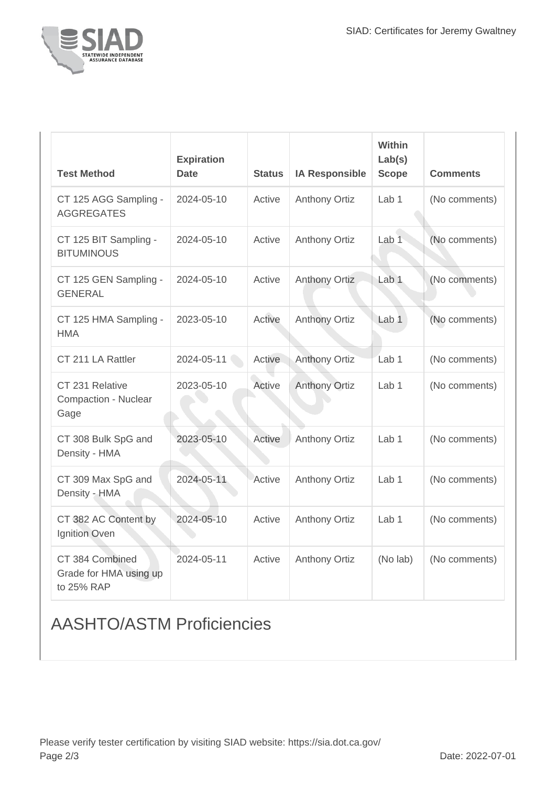

| <b>Test Method</b>                                      | <b>Expiration</b><br><b>Date</b> | <b>Status</b> | <b>IA Responsible</b> | <b>Within</b><br>Lab(s)<br><b>Scope</b> | <b>Comments</b> |
|---------------------------------------------------------|----------------------------------|---------------|-----------------------|-----------------------------------------|-----------------|
| CT 125 AGG Sampling -<br><b>AGGREGATES</b>              | 2024-05-10                       | Active        | <b>Anthony Ortiz</b>  | Lab <sub>1</sub>                        | (No comments)   |
| CT 125 BIT Sampling -<br><b>BITUMINOUS</b>              | 2024-05-10                       | Active        | <b>Anthony Ortiz</b>  | Lab 1                                   | (No comments)   |
| CT 125 GEN Sampling -<br><b>GENERAL</b>                 | 2024-05-10                       | Active        | <b>Anthony Ortiz</b>  | Lab <sub>1</sub>                        | (No comments)   |
| CT 125 HMA Sampling -<br><b>HMA</b>                     | 2023-05-10                       | Active        | <b>Anthony Ortiz</b>  | Lab <sub>1</sub>                        | (No comments)   |
| CT 211 LA Rattler                                       | 2024-05-11                       | Active        | <b>Anthony Ortiz</b>  | Lab <sub>1</sub>                        | (No comments)   |
| CT 231 Relative<br><b>Compaction - Nuclear</b><br>Gage  | 2023-05-10                       | Active        | <b>Anthony Ortiz</b>  | Lab <sub>1</sub>                        | (No comments)   |
| CT 308 Bulk SpG and<br>Density - HMA                    | 2023-05-10                       | Active        | <b>Anthony Ortiz</b>  | Lab <sub>1</sub>                        | (No comments)   |
| CT 309 Max SpG and<br>Density - HMA                     | 2024-05-11                       | Active        | <b>Anthony Ortiz</b>  | Lab <sub>1</sub>                        | (No comments)   |
| CT 382 AC Content by<br>Ignition Oven                   | 2024-05-10                       | Active        | <b>Anthony Ortiz</b>  | Lab <sub>1</sub>                        | (No comments)   |
| CT 384 Combined<br>Grade for HMA using up<br>to 25% RAP | 2024-05-11                       | Active        | <b>Anthony Ortiz</b>  | (No lab)                                | (No comments)   |

## AASHTO/ASTM Proficiencies